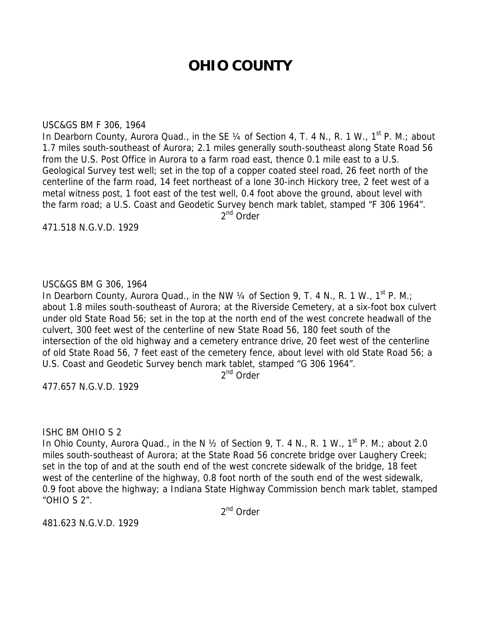# **OHIO COUNTY**

#### USC&GS BM F 306, 1964

In Dearborn County, Aurora Quad., in the SE 1/4 of Section 4, T. 4 N., R. 1 W., 1<sup>st</sup> P. M.; about 1.7 miles south-southeast of Aurora; 2.1 miles generally south-southeast along State Road 56 from the U.S. Post Office in Aurora to a farm road east, thence 0.1 mile east to a U.S. Geological Survey test well; set in the top of a copper coated steel road, 26 feet north of the centerline of the farm road, 14 feet northeast of a lone 30-inch Hickory tree, 2 feet west of a metal witness post, 1 foot east of the test well, 0.4 foot above the ground, about level with the farm road; a U.S. Coast and Geodetic Survey bench mark tablet, stamped "F 306 1964".

 $2^{nd}$  Order

471.518 N.G.V.D. 1929

# USC&GS BM G 306, 1964

In Dearborn County, Aurora Quad., in the NW  $\frac{1}{4}$  of Section 9, T. 4 N., R. 1 W., 1<sup>st</sup> P. M.; about 1.8 miles south-southeast of Aurora; at the Riverside Cemetery, at a six-foot box culvert under old State Road 56; set in the top at the north end of the west concrete headwall of the culvert, 300 feet west of the centerline of new State Road 56, 180 feet south of the intersection of the old highway and a cemetery entrance drive, 20 feet west of the centerline of old State Road 56, 7 feet east of the cemetery fence, about level with old State Road 56; a U.S. Coast and Geodetic Survey bench mark tablet, stamped "G 306 1964".

2<sup>nd</sup> Order

477.657 N.G.V.D. 1929

## ISHC BM OHIO S 2

In Ohio County, Aurora Quad., in the N  $\frac{1}{2}$  of Section 9, T. 4 N., R. 1 W., 1<sup>st</sup> P. M.; about 2.0 miles south-southeast of Aurora; at the State Road 56 concrete bridge over Laughery Creek; set in the top of and at the south end of the west concrete sidewalk of the bridge, 18 feet west of the centerline of the highway, 0.8 foot north of the south end of the west sidewalk, 0.9 foot above the highway; a Indiana State Highway Commission bench mark tablet, stamped "OHIO S 2".

2<sup>nd</sup> Order

481.623 N.G.V.D. 1929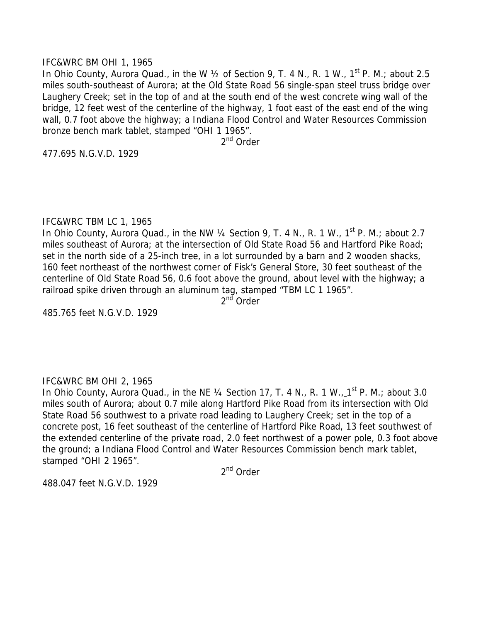## IFC&WRC BM OHI 1, 1965

In Ohio County, Aurora Quad., in the W  $\frac{1}{2}$  of Section 9, T. 4 N., R. 1 W., 1<sup>st</sup> P. M.; about 2.5 miles south-southeast of Aurora; at the Old State Road 56 single-span steel truss bridge over Laughery Creek; set in the top of and at the south end of the west concrete wing wall of the bridge, 12 feet west of the centerline of the highway, 1 foot east of the east end of the wing wall, 0.7 foot above the highway; a Indiana Flood Control and Water Resources Commission bronze bench mark tablet, stamped "OHI 1 1965".

2<sup>nd</sup> Order

477.695 N.G.V.D. 1929

## IFC&WRC TBM LC 1, 1965

In Ohio County, Aurora Quad., in the NW  $\frac{1}{4}$  Section 9, T. 4 N., R. 1 W., 1<sup>st</sup> P. M.; about 2.7 miles southeast of Aurora; at the intersection of Old State Road 56 and Hartford Pike Road; set in the north side of a 25-inch tree, in a lot surrounded by a barn and 2 wooden shacks, 160 feet northeast of the northwest corner of Fisk's General Store, 30 feet southeast of the centerline of Old State Road 56, 0.6 foot above the ground, about level with the highway; a railroad spike driven through an aluminum tag, stamped "TBM LC 1 1965".

2<sup>nd</sup> Order

485.765 feet N.G.V.D. 1929

# IFC&WRC BM OHI 2, 1965

In Ohio County, Aurora Quad., in the NE 1/4 Section 17, T. 4 N., R. 1 W., 1st P. M.; about 3.0 miles south of Aurora; about 0.7 mile along Hartford Pike Road from its intersection with Old State Road 56 southwest to a private road leading to Laughery Creek; set in the top of a concrete post, 16 feet southeast of the centerline of Hartford Pike Road, 13 feet southwest of the extended centerline of the private road, 2.0 feet northwest of a power pole, 0.3 foot above the ground; a Indiana Flood Control and Water Resources Commission bench mark tablet, stamped "OHI 2 1965".

2<sup>nd</sup> Order

488.047 feet N.G.V.D. 1929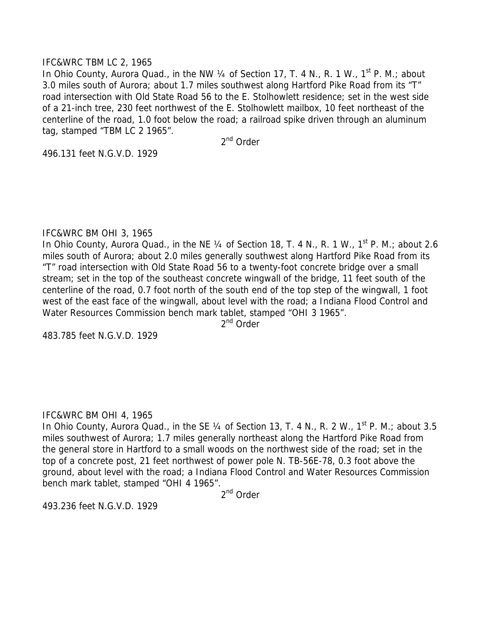## IFC&WRC TBM LC 2, 1965

In Ohio County, Aurora Quad., in the NW 1/4 of Section 17, T. 4 N., R. 1 W., 1<sup>st</sup> P. M.; about 3.0 miles south of Aurora; about 1.7 miles southwest along Hartford Pike Road from its "T" road intersection with Old State Road 56 to the E. Stolhowlett residence; set in the west side of a 21-inch tree, 230 feet northwest of the E. Stolhowlett mailbox, 10 feet northeast of the centerline of the road, 1.0 foot below the road; a railroad spike driven through an aluminum tag, stamped "TBM LC 2 1965".

2<sup>nd</sup> Order

496.131 feet N.G.V.D. 1929

## IFC&WRC BM OHI 3, 1965

In Ohio County, Aurora Quad., in the NE 1/4 of Section 18, T. 4 N., R. 1 W., 1<sup>st</sup> P. M.; about 2.6 miles south of Aurora; about 2.0 miles generally southwest along Hartford Pike Road from its "T" road intersection with Old State Road 56 to a twenty-foot concrete bridge over a small stream; set in the top of the southeast concrete wingwall of the bridge, 11 feet south of the centerline of the road, 0.7 foot north of the south end of the top step of the wingwall, 1 foot west of the east face of the wingwall, about level with the road; a Indiana Flood Control and Water Resources Commission bench mark tablet, stamped "OHI 3 1965".

 $2<sup>nd</sup>$  Order

483.785 feet N.G.V.D. 1929

#### IFC&WRC BM OHI 4, 1965

In Ohio County, Aurora Quad., in the SE 1/4 of Section 13, T. 4 N., R. 2 W., 1<sup>st</sup> P. M.; about 3.5 miles southwest of Aurora; 1.7 miles generally northeast along the Hartford Pike Road from the general store in Hartford to a small woods on the northwest side of the road; set in the top of a concrete post, 21 feet northwest of power pole N. TB-56E-78, 0.3 foot above the ground, about level with the road; a Indiana Flood Control and Water Resources Commission bench mark tablet, stamped "OHI 4 1965".

2<sup>nd</sup> Order

493.236 feet N.G.V.D. 1929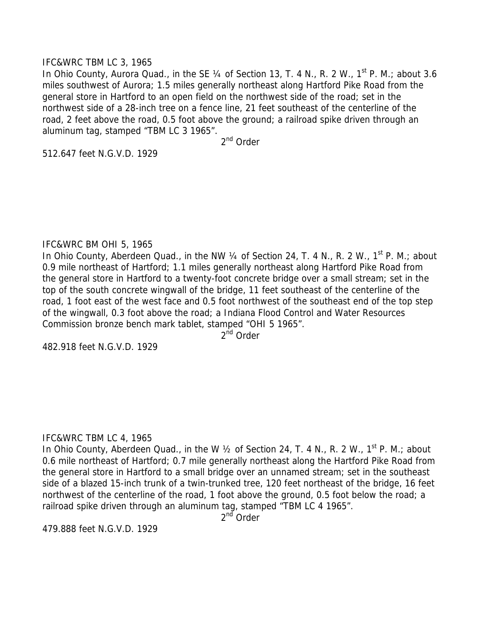## IFC&WRC TBM LC 3, 1965

In Ohio County, Aurora Quad., in the SE 1/4 of Section 13, T. 4 N., R. 2 W., 1<sup>st</sup> P. M.; about 3.6 miles southwest of Aurora; 1.5 miles generally northeast along Hartford Pike Road from the general store in Hartford to an open field on the northwest side of the road; set in the northwest side of a 28-inch tree on a fence line, 21 feet southeast of the centerline of the road, 2 feet above the road, 0.5 foot above the ground; a railroad spike driven through an aluminum tag, stamped "TBM LC 3 1965".

2nd Order

512.647 feet N.G.V.D. 1929

## IFC&WRC BM OHI 5, 1965

In Ohio County, Aberdeen Quad., in the NW  $\frac{1}{4}$  of Section 24, T. 4 N., R. 2 W., 1<sup>st</sup> P. M.; about 0.9 mile northeast of Hartford; 1.1 miles generally northeast along Hartford Pike Road from the general store in Hartford to a twenty-foot concrete bridge over a small stream; set in the top of the south concrete wingwall of the bridge, 11 feet southeast of the centerline of the road, 1 foot east of the west face and 0.5 foot northwest of the southeast end of the top step of the wingwall, 0.3 foot above the road; a Indiana Flood Control and Water Resources Commission bronze bench mark tablet, stamped "OHI 5 1965".

2<sup>nd</sup> Order

482.918 feet N.G.V.D. 1929

# IFC&WRC TBM LC 4, 1965

In Ohio County, Aberdeen Quad., in the W 1/2 of Section 24, T. 4 N., R. 2 W., 1<sup>st</sup> P. M.: about 0.6 mile northeast of Hartford; 0.7 mile generally northeast along the Hartford Pike Road from the general store in Hartford to a small bridge over an unnamed stream; set in the southeast side of a blazed 15-inch trunk of a twin-trunked tree, 120 feet northeast of the bridge, 16 feet northwest of the centerline of the road, 1 foot above the ground, 0.5 foot below the road; a railroad spike driven through an aluminum tag, stamped "TBM LC 4 1965".

2<sup>nd</sup> Order

479.888 feet N.G.V.D. 1929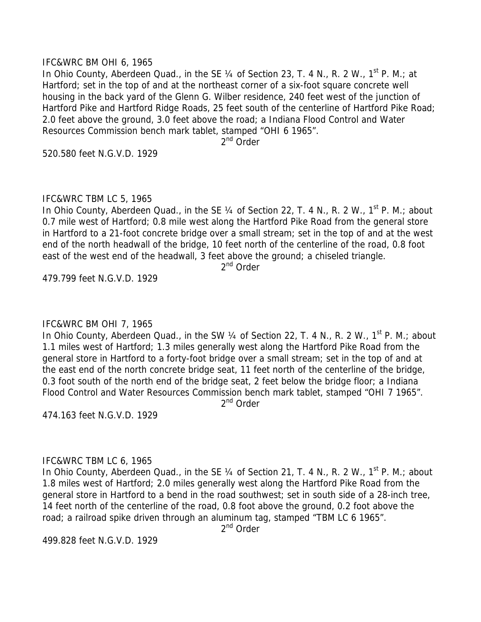#### IFC&WRC BM OHI 6, 1965

In Ohio County, Aberdeen Quad., in the SE 1/4 of Section 23, T. 4 N., R. 2 W., 1<sup>st</sup> P. M.; at Hartford; set in the top of and at the northeast corner of a six-foot square concrete well housing in the back yard of the Glenn G. Wilber residence, 240 feet west of the junction of Hartford Pike and Hartford Ridge Roads, 25 feet south of the centerline of Hartford Pike Road; 2.0 feet above the ground, 3.0 feet above the road; a Indiana Flood Control and Water Resources Commission bench mark tablet, stamped "OHI 6 1965".

2<sup>nd</sup> Order

520.580 feet N.G.V.D. 1929

## IFC&WRC TBM LC 5, 1965

In Ohio County, Aberdeen Quad., in the SE  $\frac{1}{4}$  of Section 22, T. 4 N., R. 2 W., 1<sup>st</sup> P. M.; about 0.7 mile west of Hartford; 0.8 mile west along the Hartford Pike Road from the general store in Hartford to a 21-foot concrete bridge over a small stream; set in the top of and at the west end of the north headwall of the bridge, 10 feet north of the centerline of the road, 0.8 foot east of the west end of the headwall, 3 feet above the ground; a chiseled triangle.

2<sup>nd</sup> Order

479.799 feet N.G.V.D. 1929

## IFC&WRC BM OHI 7, 1965

In Ohio County, Aberdeen Quad., in the SW 1/4 of Section 22, T. 4 N., R. 2 W., 1<sup>st</sup> P. M.; about 1.1 miles west of Hartford; 1.3 miles generally west along the Hartford Pike Road from the general store in Hartford to a forty-foot bridge over a small stream; set in the top of and at the east end of the north concrete bridge seat, 11 feet north of the centerline of the bridge, 0.3 foot south of the north end of the bridge seat, 2 feet below the bridge floor; a Indiana Flood Control and Water Resources Commission bench mark tablet, stamped "OHI 7 1965".

2<sup>nd</sup> Order

474.163 feet N.G.V.D. 1929

## IFC&WRC TBM LC 6, 1965

In Ohio County, Aberdeen Quad., in the SE  $\frac{1}{4}$  of Section 21, T. 4 N., R. 2 W., 1<sup>st</sup> P. M.; about 1.8 miles west of Hartford; 2.0 miles generally west along the Hartford Pike Road from the general store in Hartford to a bend in the road southwest; set in south side of a 28-inch tree, 14 feet north of the centerline of the road, 0.8 foot above the ground, 0.2 foot above the road; a railroad spike driven through an aluminum tag, stamped "TBM LC 6 1965".

2nd Order

499.828 feet N.G.V.D. 1929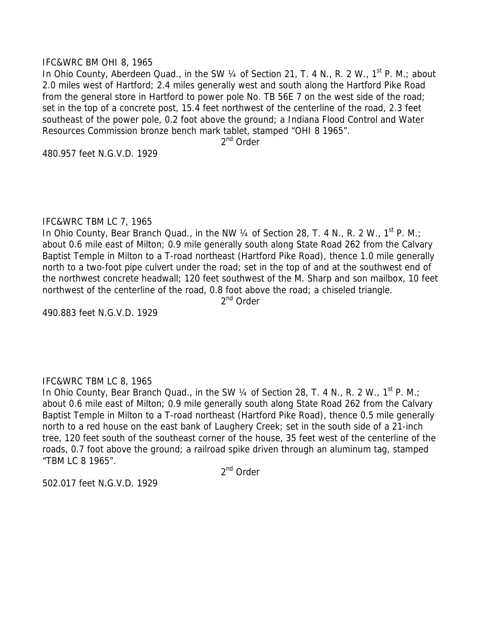#### IFC&WRC BM OHI 8, 1965

In Ohio County, Aberdeen Quad., in the SW 1/4 of Section 21, T. 4 N., R. 2 W., 1<sup>st</sup> P. M.; about 2.0 miles west of Hartford; 2.4 miles generally west and south along the Hartford Pike Road from the general store in Hartford to power pole No. TB 56E 7 on the west side of the road; set in the top of a concrete post, 15.4 feet northwest of the centerline of the road, 2.3 feet southeast of the power pole, 0.2 foot above the ground; a Indiana Flood Control and Water Resources Commission bronze bench mark tablet, stamped "OHI 8 1965".

2<sup>nd</sup> Order

480.957 feet N.G.V.D. 1929

## IFC&WRC TBM LC 7, 1965

In Ohio County, Bear Branch Quad., in the NW  $\frac{1}{4}$  of Section 28, T. 4 N., R. 2 W., 1<sup>st</sup> P. M.; about 0.6 mile east of Milton; 0.9 mile generally south along State Road 262 from the Calvary Baptist Temple in Milton to a T-road northeast (Hartford Pike Road), thence 1.0 mile generally north to a two-foot pipe culvert under the road; set in the top of and at the southwest end of the northwest concrete headwall; 120 feet southwest of the M. Sharp and son mailbox, 10 feet northwest of the centerline of the road, 0.8 foot above the road; a chiseled triangle.

2<sup>nd</sup> Order

490.883 feet N.G.V.D. 1929

## IFC&WRC TBM LC 8, 1965

In Ohio County, Bear Branch Quad., in the SW 1/4 of Section 28, T. 4 N., R. 2 W., 1<sup>st</sup> P. M.; about 0.6 mile east of Milton; 0.9 mile generally south along State Road 262 from the Calvary Baptist Temple in Milton to a T-road northeast (Hartford Pike Road), thence 0.5 mile generally north to a red house on the east bank of Laughery Creek; set in the south side of a 21-inch tree, 120 feet south of the southeast corner of the house, 35 feet west of the centerline of the roads, 0.7 foot above the ground; a railroad spike driven through an aluminum tag, stamped "TBM LC 8 1965".

2<sup>nd</sup> Order

502.017 feet N.G.V.D. 1929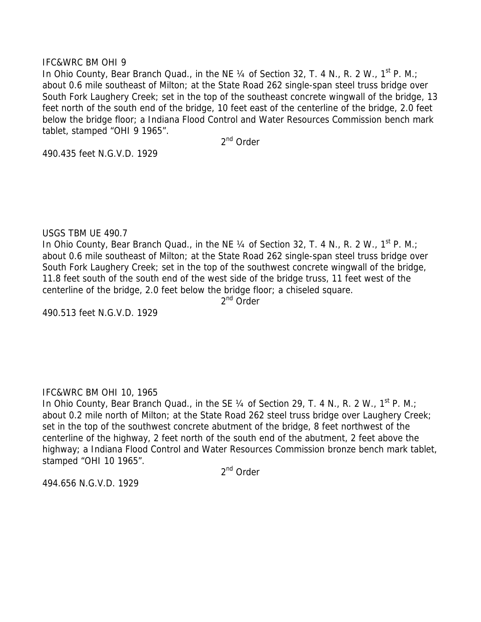## IFC&WRC BM OHI 9

In Ohio County, Bear Branch Quad., in the NE  $\frac{1}{4}$  of Section 32, T. 4 N., R. 2 W., 1<sup>st</sup> P. M.; about 0.6 mile southeast of Milton; at the State Road 262 single-span steel truss bridge over South Fork Laughery Creek; set in the top of the southeast concrete wingwall of the bridge, 13 feet north of the south end of the bridge, 10 feet east of the centerline of the bridge, 2.0 feet below the bridge floor; a Indiana Flood Control and Water Resources Commission bench mark tablet, stamped "OHI 9 1965".

2<sup>nd</sup> Order

490.435 feet N.G.V.D. 1929

## USGS TBM UE 490.7

In Ohio County, Bear Branch Quad., in the NE 1/4 of Section 32, T. 4 N., R. 2 W., 1<sup>st</sup> P. M.; about 0.6 mile southeast of Milton; at the State Road 262 single-span steel truss bridge over South Fork Laughery Creek; set in the top of the southwest concrete wingwall of the bridge, 11.8 feet south of the south end of the west side of the bridge truss, 11 feet west of the centerline of the bridge, 2.0 feet below the bridge floor; a chiseled square.

2<sup>nd</sup> Order

490.513 feet N.G.V.D. 1929

# IFC&WRC BM OHI 10, 1965

In Ohio County, Bear Branch Quad., in the SE  $\frac{1}{4}$  of Section 29, T. 4 N., R. 2 W., 1<sup>st</sup> P. M.; about 0.2 mile north of Milton; at the State Road 262 steel truss bridge over Laughery Creek; set in the top of the southwest concrete abutment of the bridge, 8 feet northwest of the centerline of the highway, 2 feet north of the south end of the abutment, 2 feet above the highway; a Indiana Flood Control and Water Resources Commission bronze bench mark tablet, stamped "OHI 10 1965".

2<sup>nd</sup> Order

494.656 N.G.V.D. 1929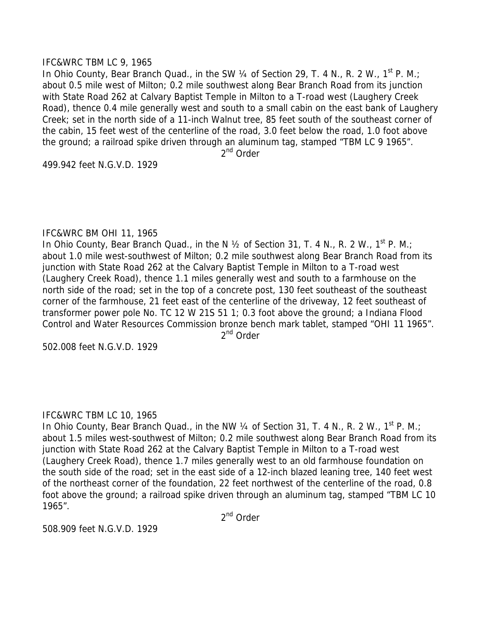## IFC&WRC TBM LC 9, 1965

In Ohio County, Bear Branch Quad., in the SW 1/4 of Section 29, T. 4 N., R. 2 W., 1<sup>st</sup> P. M.; about 0.5 mile west of Milton; 0.2 mile southwest along Bear Branch Road from its junction with State Road 262 at Calvary Baptist Temple in Milton to a T-road west (Laughery Creek Road), thence 0.4 mile generally west and south to a small cabin on the east bank of Laughery Creek; set in the north side of a 11-inch Walnut tree, 85 feet south of the southeast corner of the cabin, 15 feet west of the centerline of the road, 3.0 feet below the road, 1.0 foot above the ground; a railroad spike driven through an aluminum tag, stamped "TBM LC 9 1965".

2nd Order

499.942 feet N.G.V.D. 1929

## IFC&WRC BM OHI 11, 1965

In Ohio County, Bear Branch Quad., in the N 1/2 of Section 31, T. 4 N., R. 2 W., 1<sup>st</sup> P. M.; about 1.0 mile west-southwest of Milton; 0.2 mile southwest along Bear Branch Road from its junction with State Road 262 at the Calvary Baptist Temple in Milton to a T-road west (Laughery Creek Road), thence 1.1 miles generally west and south to a farmhouse on the north side of the road; set in the top of a concrete post, 130 feet southeast of the southeast corner of the farmhouse, 21 feet east of the centerline of the driveway, 12 feet southeast of transformer power pole No. TC 12 W 21S 51 1; 0.3 foot above the ground; a Indiana Flood Control and Water Resources Commission bronze bench mark tablet, stamped "OHI 11 1965".

2<sup>nd</sup> Order

502.008 feet N.G.V.D. 1929

## IFC&WRC TBM LC 10, 1965

In Ohio County, Bear Branch Quad., in the NW  $\frac{1}{4}$  of Section 31, T. 4 N., R. 2 W., 1<sup>st</sup> P. M.; about 1.5 miles west-southwest of Milton; 0.2 mile southwest along Bear Branch Road from its junction with State Road 262 at the Calvary Baptist Temple in Milton to a T-road west (Laughery Creek Road), thence 1.7 miles generally west to an old farmhouse foundation on the south side of the road; set in the east side of a 12-inch blazed leaning tree, 140 feet west of the northeast corner of the foundation, 22 feet northwest of the centerline of the road, 0.8 foot above the ground; a railroad spike driven through an aluminum tag, stamped "TBM LC 10 1965".

2<sup>nd</sup> Order

508.909 feet N.G.V.D. 1929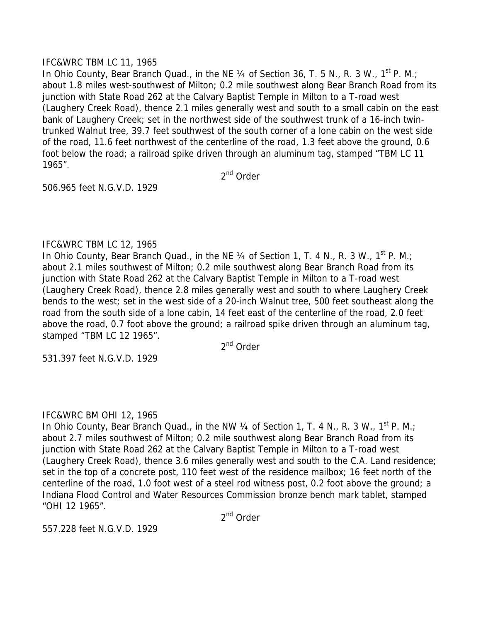## IFC&WRC TBM LC 11, 1965

In Ohio County, Bear Branch Quad., in the NE  $\frac{1}{4}$  of Section 36, T. 5 N., R. 3 W., 1<sup>st</sup> P. M.; about 1.8 miles west-southwest of Milton; 0.2 mile southwest along Bear Branch Road from its junction with State Road 262 at the Calvary Baptist Temple in Milton to a T-road west (Laughery Creek Road), thence 2.1 miles generally west and south to a small cabin on the east bank of Laughery Creek; set in the northwest side of the southwest trunk of a 16-inch twintrunked Walnut tree, 39.7 feet southwest of the south corner of a lone cabin on the west side of the road, 11.6 feet northwest of the centerline of the road, 1.3 feet above the ground, 0.6 foot below the road; a railroad spike driven through an aluminum tag, stamped "TBM LC 11 1965".

2<sup>nd</sup> Order

506.965 feet N.G.V.D. 1929

# IFC&WRC TBM LC 12, 1965

In Ohio County, Bear Branch Quad., in the NE  $\frac{1}{4}$  of Section 1, T. 4 N., R. 3 W., 1<sup>st</sup> P. M.; about 2.1 miles southwest of Milton; 0.2 mile southwest along Bear Branch Road from its junction with State Road 262 at the Calvary Baptist Temple in Milton to a T-road west (Laughery Creek Road), thence 2.8 miles generally west and south to where Laughery Creek bends to the west; set in the west side of a 20-inch Walnut tree, 500 feet southeast along the road from the south side of a lone cabin, 14 feet east of the centerline of the road, 2.0 feet above the road, 0.7 foot above the ground; a railroad spike driven through an aluminum tag, stamped "TBM LC 12 1965".

2<sup>nd</sup> Order

531.397 feet N.G.V.D. 1929

# IFC&WRC BM OHI 12, 1965

In Ohio County, Bear Branch Quad., in the NW 1/4 of Section 1, T. 4 N., R. 3 W., 1<sup>st</sup> P. M.; about 2.7 miles southwest of Milton; 0.2 mile southwest along Bear Branch Road from its junction with State Road 262 at the Calvary Baptist Temple in Milton to a T-road west (Laughery Creek Road), thence 3.6 miles generally west and south to the C.A. Land residence; set in the top of a concrete post, 110 feet west of the residence mailbox; 16 feet north of the centerline of the road, 1.0 foot west of a steel rod witness post, 0.2 foot above the ground; a Indiana Flood Control and Water Resources Commission bronze bench mark tablet, stamped "OHI 12 1965".

2<sup>nd</sup> Order

557.228 feet N.G.V.D. 1929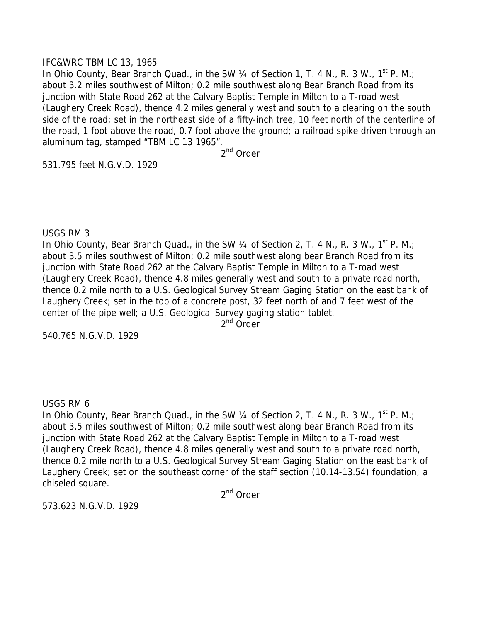## IFC&WRC TBM LC 13, 1965

In Ohio County, Bear Branch Quad., in the SW 1/4 of Section 1, T. 4 N., R. 3 W., 1<sup>st</sup> P. M.; about 3.2 miles southwest of Milton; 0.2 mile southwest along Bear Branch Road from its junction with State Road 262 at the Calvary Baptist Temple in Milton to a T-road west (Laughery Creek Road), thence 4.2 miles generally west and south to a clearing on the south side of the road; set in the northeast side of a fifty-inch tree, 10 feet north of the centerline of the road, 1 foot above the road, 0.7 foot above the ground; a railroad spike driven through an aluminum tag, stamped "TBM LC 13 1965".

2<sup>nd</sup> Order

531.795 feet N.G.V.D. 1929

## USGS RM 3

In Ohio County, Bear Branch Quad., in the SW 1/4 of Section 2, T. 4 N., R. 3 W., 1<sup>st</sup> P. M.; about 3.5 miles southwest of Milton; 0.2 mile southwest along bear Branch Road from its junction with State Road 262 at the Calvary Baptist Temple in Milton to a T-road west (Laughery Creek Road), thence 4.8 miles generally west and south to a private road north, thence 0.2 mile north to a U.S. Geological Survey Stream Gaging Station on the east bank of Laughery Creek; set in the top of a concrete post, 32 feet north of and 7 feet west of the center of the pipe well; a U.S. Geological Survey gaging station tablet. 2<sup>nd</sup> Order

540.765 N.G.V.D. 1929

# USGS RM 6

In Ohio County, Bear Branch Quad., in the SW 1/4 of Section 2, T. 4 N., R. 3 W., 1<sup>st</sup> P. M.; about 3.5 miles southwest of Milton; 0.2 mile southwest along bear Branch Road from its junction with State Road 262 at the Calvary Baptist Temple in Milton to a T-road west (Laughery Creek Road), thence 4.8 miles generally west and south to a private road north, thence 0.2 mile north to a U.S. Geological Survey Stream Gaging Station on the east bank of Laughery Creek; set on the southeast corner of the staff section (10.14-13.54) foundation; a chiseled square.

2<sup>nd</sup> Order

573.623 N.G.V.D. 1929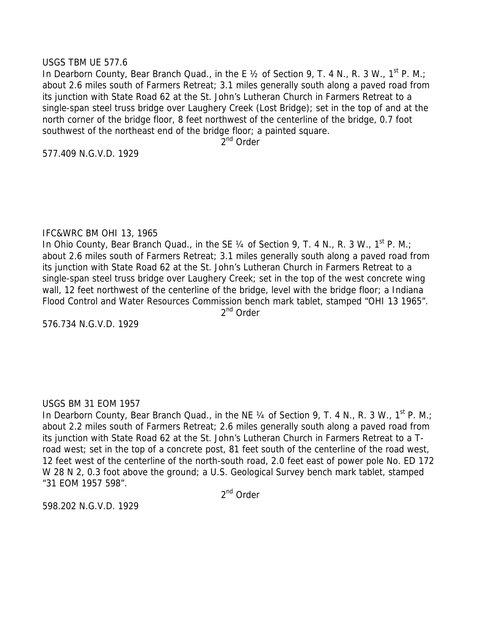## USGS TBM UE 577.6

In Dearborn County, Bear Branch Quad., in the E 1/2 of Section 9, T. 4 N., R. 3 W., 1<sup>st</sup> P. M.; about 2.6 miles south of Farmers Retreat; 3.1 miles generally south along a paved road from its junction with State Road 62 at the St. John's Lutheran Church in Farmers Retreat to a single-span steel truss bridge over Laughery Creek (Lost Bridge); set in the top of and at the north corner of the bridge floor, 8 feet northwest of the centerline of the bridge, 0.7 foot southwest of the northeast end of the bridge floor; a painted square.

2<sup>nd</sup> Order

577.409 N.G.V.D. 1929

## IFC&WRC BM OHI 13, 1965

In Ohio County, Bear Branch Quad., in the SE 1/4 of Section 9, T. 4 N., R. 3 W., 1<sup>st</sup> P. M.; about 2.6 miles south of Farmers Retreat; 3.1 miles generally south along a paved road from its junction with State Road 62 at the St. John's Lutheran Church in Farmers Retreat to a single-span steel truss bridge over Laughery Creek; set in the top of the west concrete wing wall, 12 feet northwest of the centerline of the bridge, level with the bridge floor; a Indiana Flood Control and Water Resources Commission bench mark tablet, stamped "OHI 13 1965". 2<sup>nd</sup> Order

576.734 N.G.V.D. 1929

# USGS BM 31 EOM 1957

In Dearborn County, Bear Branch Quad., in the NE  $\frac{1}{4}$  of Section 9, T. 4 N., R. 3 W., 1<sup>st</sup> P. M.; about 2.2 miles south of Farmers Retreat; 2.6 miles generally south along a paved road from its junction with State Road 62 at the St. John's Lutheran Church in Farmers Retreat to a Troad west; set in the top of a concrete post, 81 feet south of the centerline of the road west, 12 feet west of the centerline of the north-south road, 2.0 feet east of power pole No. ED 172 W 28 N 2, 0.3 foot above the ground; a U.S. Geological Survey bench mark tablet, stamped "31 EOM 1957 598".

2<sup>nd</sup> Order

598.202 N.G.V.D. 1929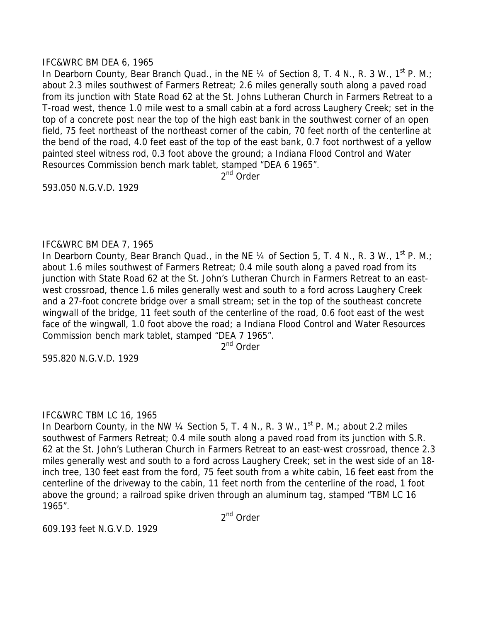## IFC&WRC BM DEA 6, 1965

In Dearborn County, Bear Branch Quad., in the NE 1/4 of Section 8, T. 4 N., R. 3 W., 1<sup>st</sup> P. M.; about 2.3 miles southwest of Farmers Retreat; 2.6 miles generally south along a paved road from its junction with State Road 62 at the St. Johns Lutheran Church in Farmers Retreat to a T-road west, thence 1.0 mile west to a small cabin at a ford across Laughery Creek; set in the top of a concrete post near the top of the high east bank in the southwest corner of an open field, 75 feet northeast of the northeast corner of the cabin, 70 feet north of the centerline at the bend of the road, 4.0 feet east of the top of the east bank, 0.7 foot northwest of a yellow painted steel witness rod, 0.3 foot above the ground; a Indiana Flood Control and Water Resources Commission bench mark tablet, stamped "DEA 6 1965".

2<sup>nd</sup> Order

593.050 N.G.V.D. 1929

# IFC&WRC BM DEA 7, 1965

In Dearborn County, Bear Branch Quad., in the NE  $\frac{1}{4}$  of Section 5, T. 4 N., R. 3 W., 1<sup>st</sup> P. M.; about 1.6 miles southwest of Farmers Retreat; 0.4 mile south along a paved road from its junction with State Road 62 at the St. John's Lutheran Church in Farmers Retreat to an eastwest crossroad, thence 1.6 miles generally west and south to a ford across Laughery Creek and a 27-foot concrete bridge over a small stream; set in the top of the southeast concrete wingwall of the bridge, 11 feet south of the centerline of the road, 0.6 foot east of the west face of the wingwall, 1.0 foot above the road; a Indiana Flood Control and Water Resources Commission bench mark tablet, stamped "DEA 7 1965".

2<sup>nd</sup> Order

595.820 N.G.V.D. 1929

# IFC&WRC TBM LC 16, 1965

In Dearborn County, in the NW  $\frac{1}{4}$  Section 5, T. 4 N., R. 3 W., 1<sup>st</sup> P. M.; about 2.2 miles southwest of Farmers Retreat; 0.4 mile south along a paved road from its junction with S.R. 62 at the St. John's Lutheran Church in Farmers Retreat to an east-west crossroad, thence 2.3 miles generally west and south to a ford across Laughery Creek; set in the west side of an 18 inch tree, 130 feet east from the ford, 75 feet south from a white cabin, 16 feet east from the centerline of the driveway to the cabin, 11 feet north from the centerline of the road, 1 foot above the ground; a railroad spike driven through an aluminum tag, stamped "TBM LC 16 1965".

2nd Order

609.193 feet N.G.V.D. 1929